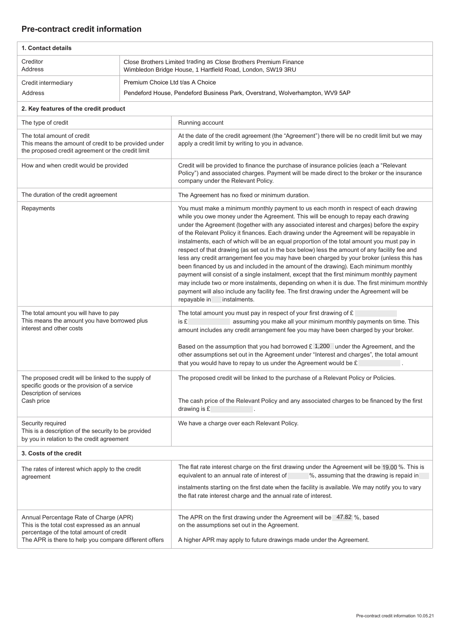## **Pre-contract credit information**

| 1. Contact details                                                                                                                                                                           |                                                                                                                                |                                                                                                                                                                                                                                                                                                                                                                                                                                                                                                                                                                                                                                                                                                                                                                                                                                                                                                                                                                                                                                                                                   |  |
|----------------------------------------------------------------------------------------------------------------------------------------------------------------------------------------------|--------------------------------------------------------------------------------------------------------------------------------|-----------------------------------------------------------------------------------------------------------------------------------------------------------------------------------------------------------------------------------------------------------------------------------------------------------------------------------------------------------------------------------------------------------------------------------------------------------------------------------------------------------------------------------------------------------------------------------------------------------------------------------------------------------------------------------------------------------------------------------------------------------------------------------------------------------------------------------------------------------------------------------------------------------------------------------------------------------------------------------------------------------------------------------------------------------------------------------|--|
| Creditor<br>Address                                                                                                                                                                          | Close Brothers Limited trading as Close Brothers Premium Finance<br>Wimbledon Bridge House, 1 Hartfield Road, London, SW19 3RU |                                                                                                                                                                                                                                                                                                                                                                                                                                                                                                                                                                                                                                                                                                                                                                                                                                                                                                                                                                                                                                                                                   |  |
| Credit intermediary                                                                                                                                                                          | Premium Choice Ltd t/as A Choice                                                                                               |                                                                                                                                                                                                                                                                                                                                                                                                                                                                                                                                                                                                                                                                                                                                                                                                                                                                                                                                                                                                                                                                                   |  |
| Address                                                                                                                                                                                      | Pendeford House, Pendeford Business Park, Overstrand, Wolverhampton, WV9 5AP                                                   |                                                                                                                                                                                                                                                                                                                                                                                                                                                                                                                                                                                                                                                                                                                                                                                                                                                                                                                                                                                                                                                                                   |  |
| 2. Key features of the credit product                                                                                                                                                        |                                                                                                                                |                                                                                                                                                                                                                                                                                                                                                                                                                                                                                                                                                                                                                                                                                                                                                                                                                                                                                                                                                                                                                                                                                   |  |
| The type of credit                                                                                                                                                                           |                                                                                                                                | Running account                                                                                                                                                                                                                                                                                                                                                                                                                                                                                                                                                                                                                                                                                                                                                                                                                                                                                                                                                                                                                                                                   |  |
| The total amount of credit<br>This means the amount of credit to be provided under<br>the proposed credit agreement or the credit limit                                                      |                                                                                                                                | At the date of the credit agreement (the "Agreement") there will be no credit limit but we may<br>apply a credit limit by writing to you in advance.                                                                                                                                                                                                                                                                                                                                                                                                                                                                                                                                                                                                                                                                                                                                                                                                                                                                                                                              |  |
| How and when credit would be provided                                                                                                                                                        |                                                                                                                                | Credit will be provided to finance the purchase of insurance policies (each a "Relevant<br>Policy") and associated charges. Payment will be made direct to the broker or the insurance<br>company under the Relevant Policy.                                                                                                                                                                                                                                                                                                                                                                                                                                                                                                                                                                                                                                                                                                                                                                                                                                                      |  |
| The duration of the credit agreement                                                                                                                                                         |                                                                                                                                | The Agreement has no fixed or minimum duration.                                                                                                                                                                                                                                                                                                                                                                                                                                                                                                                                                                                                                                                                                                                                                                                                                                                                                                                                                                                                                                   |  |
| Repayments                                                                                                                                                                                   |                                                                                                                                | You must make a minimum monthly payment to us each month in respect of each drawing<br>while you owe money under the Agreement. This will be enough to repay each drawing<br>under the Agreement (together with any associated interest and charges) before the expiry<br>of the Relevant Policy it finances. Each drawing under the Agreement will be repayable in<br>instalments, each of which will be an equal proportion of the total amount you must pay in<br>respect of that drawing (as set out in the box below) less the amount of any facility fee and<br>less any credit arrangement fee you may have been charged by your broker (unless this has<br>been financed by us and included in the amount of the drawing). Each minimum monthly<br>payment will consist of a single instalment, except that the first minimum monthly payment<br>may include two or more instalments, depending on when it is due. The first minimum monthly<br>payment will also include any facility fee. The first drawing under the Agreement will be<br>repayable in<br>instalments. |  |
| The total amount you will have to pay<br>This means the amount you have borrowed plus<br>interest and other costs                                                                            |                                                                                                                                | The total amount you must pay in respect of your first drawing of £<br>is £<br>assuming you make all your minimum monthly payments on time. This<br>amount includes any credit arrangement fee you may have been charged by your broker.<br>Based on the assumption that you had borrowed $£ 1,200$ under the Agreement, and the<br>other assumptions set out in the Agreement under "Interest and charges", the total amount<br>that you would have to repay to us under the Agreement would be £                                                                                                                                                                                                                                                                                                                                                                                                                                                                                                                                                                                |  |
| The proposed credit will be linked to the supply of<br>specific goods or the provision of a service<br>Description of services<br>Cash price                                                 |                                                                                                                                | The proposed credit will be linked to the purchase of a Relevant Policy or Policies.<br>The cash price of the Relevant Policy and any associated charges to be financed by the first<br>drawing is $E$                                                                                                                                                                                                                                                                                                                                                                                                                                                                                                                                                                                                                                                                                                                                                                                                                                                                            |  |
| Security required<br>This is a description of the security to be provided<br>by you in relation to the credit agreement                                                                      |                                                                                                                                | We have a charge over each Relevant Policy.                                                                                                                                                                                                                                                                                                                                                                                                                                                                                                                                                                                                                                                                                                                                                                                                                                                                                                                                                                                                                                       |  |
| 3. Costs of the credit                                                                                                                                                                       |                                                                                                                                |                                                                                                                                                                                                                                                                                                                                                                                                                                                                                                                                                                                                                                                                                                                                                                                                                                                                                                                                                                                                                                                                                   |  |
| The rates of interest which apply to the credit<br>agreement                                                                                                                                 |                                                                                                                                | The flat rate interest charge on the first drawing under the Agreement will be 19,00 %. This is<br>equivalent to an annual rate of interest of<br>%, assuming that the drawing is repaid in<br>instalments starting on the first date when the facility is available. We may notify you to vary<br>the flat rate interest charge and the annual rate of interest.                                                                                                                                                                                                                                                                                                                                                                                                                                                                                                                                                                                                                                                                                                                 |  |
| Annual Percentage Rate of Charge (APR)<br>This is the total cost expressed as an annual<br>percentage of the total amount of credit<br>The APR is there to help you compare different offers |                                                                                                                                | The APR on the first drawing under the Agreement will be 47.82 %, based<br>on the assumptions set out in the Agreement.<br>A higher APR may apply to future drawings made under the Agreement.                                                                                                                                                                                                                                                                                                                                                                                                                                                                                                                                                                                                                                                                                                                                                                                                                                                                                    |  |